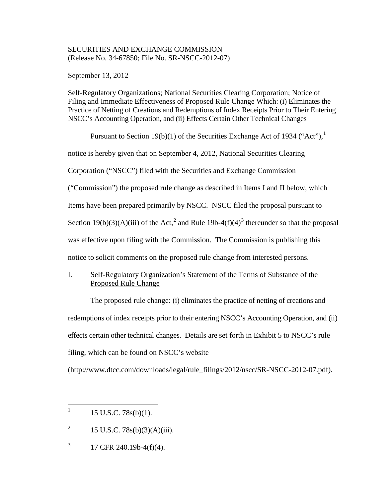# SECURITIES AND EXCHANGE COMMISSION (Release No. 34-67850; File No. SR-NSCC-2012-07)

September 13, 2012

Self-Regulatory Organizations; National Securities Clearing Corporation; Notice of Filing and Immediate Effectiveness of Proposed Rule Change Which: (i) Eliminates the Practice of Netting of Creations and Redemptions of Index Receipts Prior to Their Entering NSCC's Accounting Operation, and (ii) Effects Certain Other Technical Changes

Pursuant to Section [1](#page-0-0)9(b)(1) of the Securities Exchange Act of 1934 ("Act"),  $^1$ notice is hereby given that on September 4, 2012, National Securities Clearing Corporation ("NSCC") filed with the Securities and Exchange Commission ("Commission") the proposed rule change as described in Items I and II below, which Items have been prepared primarily by NSCC. NSCC filed the proposal pursuant to Section 19(b)(3)(A)(iii) of the Act,<sup>[2](#page-0-1)</sup> and Rule 19b-4(f)(4)<sup>[3](#page-0-2)</sup> thereunder so that the proposal was effective upon filing with the Commission. The Commission is publishing this notice to solicit comments on the proposed rule change from interested persons.

# I. Self-Regulatory Organization's Statement of the Terms of Substance of the Proposed Rule Change

The proposed rule change: (i) eliminates the practice of netting of creations and redemptions of index receipts prior to their entering NSCC's Accounting Operation, and (ii) effects certain other technical changes. Details are set forth in Exhibit 5 to NSCC's rule filing, which can be found on NSCC's website

(http://www.dtcc.com/downloads/legal/rule\_filings/2012/nscc/SR-NSCC-2012-07.pdf).

<span id="page-0-0"></span> $1 \quad 15 \text{ U.S.C. } 78 \text{s(b)}(1).$ 

<span id="page-0-1"></span><sup>&</sup>lt;sup>2</sup> 15 U.S.C. 78s(b)(3)(A)(iii).

<span id="page-0-2"></span> $3 \qquad 17 \text{ CFR } 240.19b - 4(f)(4).$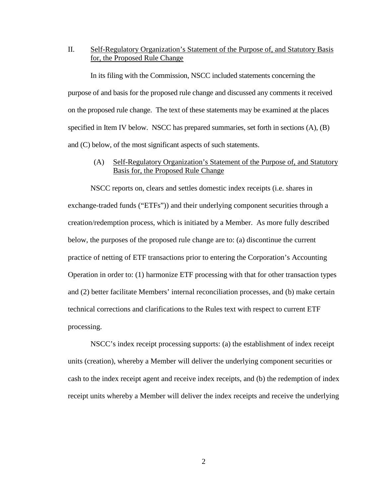# II. Self-Regulatory Organization's Statement of the Purpose of, and Statutory Basis for, the Proposed Rule Change

In its filing with the Commission, NSCC included statements concerning the purpose of and basis for the proposed rule change and discussed any comments it received on the proposed rule change. The text of these statements may be examined at the places specified in Item IV below. NSCC has prepared summaries, set forth in sections (A), (B) and (C) below, of the most significant aspects of such statements.

### (A) Self-Regulatory Organization's Statement of the Purpose of, and Statutory Basis for, the Proposed Rule Change

NSCC reports on, clears and settles domestic index receipts (i.e. shares in exchange-traded funds ("ETFs")) and their underlying component securities through a creation/redemption process, which is initiated by a Member. As more fully described below, the purposes of the proposed rule change are to: (a) discontinue the current practice of netting of ETF transactions prior to entering the Corporation's Accounting Operation in order to: (1) harmonize ETF processing with that for other transaction types and (2) better facilitate Members' internal reconciliation processes, and (b) make certain technical corrections and clarifications to the Rules text with respect to current ETF processing.

NSCC's index receipt processing supports: (a) the establishment of index receipt units (creation), whereby a Member will deliver the underlying component securities or cash to the index receipt agent and receive index receipts, and (b) the redemption of index receipt units whereby a Member will deliver the index receipts and receive the underlying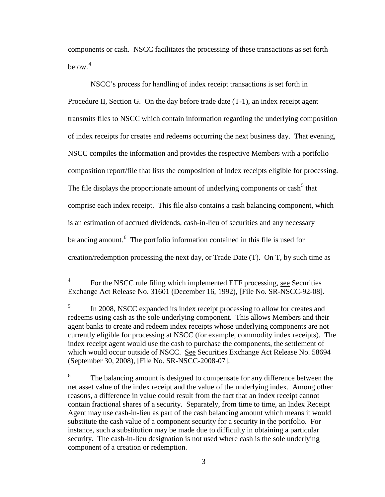components or cash. NSCC facilitates the processing of these transactions as set forth below. $4$ 

NSCC's process for handling of index receipt transactions is set forth in Procedure II, Section G. On the day before trade date (T-1), an index receipt agent transmits files to NSCC which contain information regarding the underlying composition of index receipts for creates and redeems occurring the next business day. That evening, NSCC compiles the information and provides the respective Members with a portfolio composition report/file that lists the composition of index receipts eligible for processing. The file displays the proportionate amount of underlying components or cash<sup>[5](#page-2-1)</sup> that comprise each index receipt. This file also contains a cash balancing component, which is an estimation of accrued dividends, cash-in-lieu of securities and any necessary balancing amount.<sup>[6](#page-2-2)</sup> The portfolio information contained in this file is used for creation/redemption processing the next day, or Trade Date (T). On T, by such time as

<span id="page-2-0"></span><sup>&</sup>lt;sup>4</sup> For the NSCC rule filing which implemented ETF processing, see Securities Exchange Act Release No. 31601 (December 16, 1992), [File No. SR-NSCC-92-08].

<span id="page-2-1"></span><sup>&</sup>lt;sup>5</sup> In 2008, NSCC expanded its index receipt processing to allow for creates and redeems using cash as the sole underlying component. This allows Members and their agent banks to create and redeem index receipts whose underlying components are not currently eligible for processing at NSCC (for example, commodity index receipts). The index receipt agent would use the cash to purchase the components, the settlement of which would occur outside of NSCC. See Securities Exchange Act Release No. 58694 (September 30, 2008), [File No. SR-NSCC-2008-07].

<span id="page-2-2"></span><sup>&</sup>lt;sup>6</sup> The balancing amount is designed to compensate for any difference between the net asset value of the index receipt and the value of the underlying index. Among other reasons, a difference in value could result from the fact that an index receipt cannot contain fractional shares of a security. Separately, from time to time, an Index Receipt Agent may use cash-in-lieu as part of the cash balancing amount which means it would substitute the cash value of a component security for a security in the portfolio. For instance, such a substitution may be made due to difficulty in obtaining a particular security. The cash-in-lieu designation is not used where cash is the sole underlying component of a creation or redemption.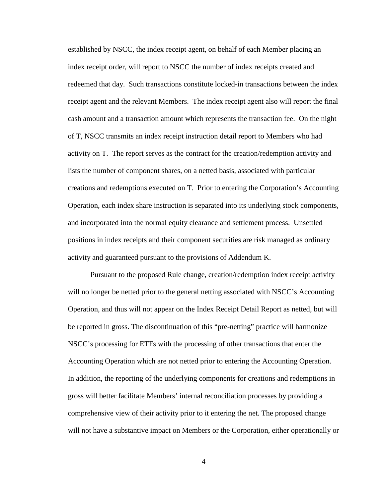established by NSCC, the index receipt agent, on behalf of each Member placing an index receipt order, will report to NSCC the number of index receipts created and redeemed that day. Such transactions constitute locked-in transactions between the index receipt agent and the relevant Members. The index receipt agent also will report the final cash amount and a transaction amount which represents the transaction fee. On the night of T, NSCC transmits an index receipt instruction detail report to Members who had activity on T. The report serves as the contract for the creation/redemption activity and lists the number of component shares, on a netted basis, associated with particular creations and redemptions executed on T. Prior to entering the Corporation's Accounting Operation, each index share instruction is separated into its underlying stock components, and incorporated into the normal equity clearance and settlement process. Unsettled positions in index receipts and their component securities are risk managed as ordinary activity and guaranteed pursuant to the provisions of Addendum K.

Pursuant to the proposed Rule change, creation/redemption index receipt activity will no longer be netted prior to the general netting associated with NSCC's Accounting Operation, and thus will not appear on the Index Receipt Detail Report as netted, but will be reported in gross. The discontinuation of this "pre-netting" practice will harmonize NSCC's processing for ETFs with the processing of other transactions that enter the Accounting Operation which are not netted prior to entering the Accounting Operation. In addition, the reporting of the underlying components for creations and redemptions in gross will better facilitate Members' internal reconciliation processes by providing a comprehensive view of their activity prior to it entering the net. The proposed change will not have a substantive impact on Members or the Corporation, either operationally or

4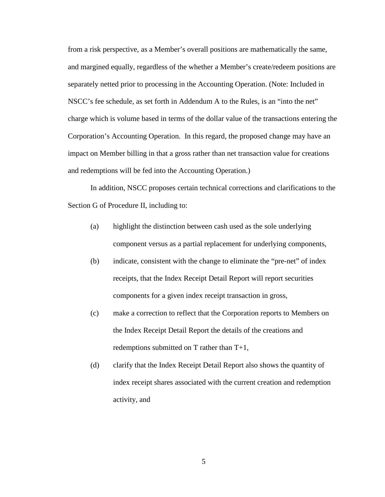from a risk perspective, as a Member's overall positions are mathematically the same, and margined equally, regardless of the whether a Member's create/redeem positions are separately netted prior to processing in the Accounting Operation. (Note: Included in NSCC's fee schedule, as set forth in Addendum A to the Rules, is an "into the net" charge which is volume based in terms of the dollar value of the transactions entering the Corporation's Accounting Operation. In this regard, the proposed change may have an impact on Member billing in that a gross rather than net transaction value for creations and redemptions will be fed into the Accounting Operation.)

In addition, NSCC proposes certain technical corrections and clarifications to the Section G of Procedure II, including to:

- (a) highlight the distinction between cash used as the sole underlying component versus as a partial replacement for underlying components,
- (b) indicate, consistent with the change to eliminate the "pre-net" of index receipts, that the Index Receipt Detail Report will report securities components for a given index receipt transaction in gross,
- (c) make a correction to reflect that the Corporation reports to Members on the Index Receipt Detail Report the details of the creations and redemptions submitted on T rather than T+1,
- (d) clarify that the Index Receipt Detail Report also shows the quantity of index receipt shares associated with the current creation and redemption activity, and

5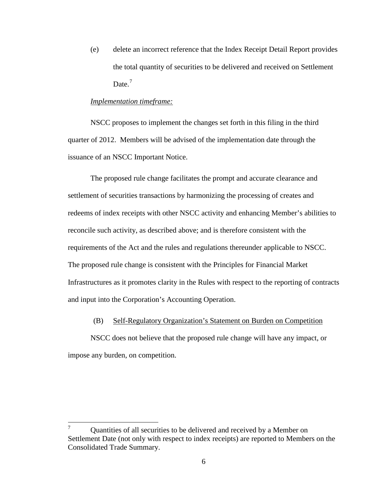(e) delete an incorrect reference that the Index Receipt Detail Report provides the total quantity of securities to be delivered and received on Settlement Date. $<sup>7</sup>$  $<sup>7</sup>$  $<sup>7</sup>$ </sup>

#### *Implementation timeframe:*

NSCC proposes to implement the changes set forth in this filing in the third quarter of 2012. Members will be advised of the implementation date through the issuance of an NSCC Important Notice.

The proposed rule change facilitates the prompt and accurate clearance and settlement of securities transactions by harmonizing the processing of creates and redeems of index receipts with other NSCC activity and enhancing Member's abilities to reconcile such activity, as described above; and is therefore consistent with the requirements of the Act and the rules and regulations thereunder applicable to NSCC. The proposed rule change is consistent with the Principles for Financial Market Infrastructures as it promotes clarity in the Rules with respect to the reporting of contracts and input into the Corporation's Accounting Operation.

### (B) Self-Regulatory Organization's Statement on Burden on Competition

NSCC does not believe that the proposed rule change will have any impact, or impose any burden, on competition.

<span id="page-5-0"></span> $7 \text{ Quantities of all securities to be delivered and received by a Member on }$ Settlement Date (not only with respect to index receipts) are reported to Members on the Consolidated Trade Summary.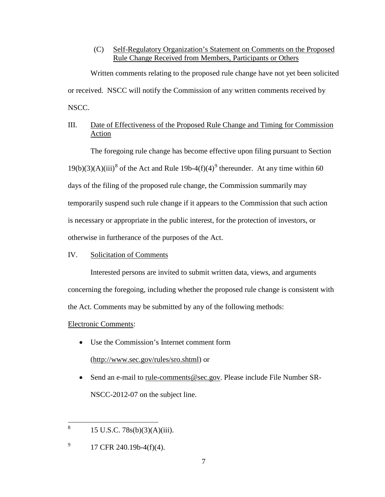## (C) Self-Regulatory Organization's Statement on Comments on the Proposed Rule Change Received from Members, Participants or Others

Written comments relating to the proposed rule change have not yet been solicited or received. NSCC will notify the Commission of any written comments received by NSCC.

# III. Date of Effectiveness of the Proposed Rule Change and Timing for Commission Action

The foregoing rule change has become effective upon filing pursuant to Section  $19(b)(3)(A)(iii)^8$  $19(b)(3)(A)(iii)^8$  of the Act and Rule 1[9](#page-6-1)b-4(f)(4)<sup>9</sup> thereunder. At any time within 60 days of the filing of the proposed rule change, the Commission summarily may temporarily suspend such rule change if it appears to the Commission that such action is necessary or appropriate in the public interest, for the protection of investors, or otherwise in furtherance of the purposes of the Act.

### IV. Solicitation of Comments

Interested persons are invited to submit written data, views, and arguments concerning the foregoing, including whether the proposed rule change is consistent with the Act. Comments may be submitted by any of the following methods:

# Electronic Comments:

- Use the Commission's Internet comment form (http://www.sec.gov/rules/sro.shtml) or
- Send an e-mail to rule-comments@sec.gov. Please include File Number SR-NSCC-2012-07 on the subject line.

<span id="page-6-0"></span><sup>&</sup>lt;sup>8</sup> 15 U.S.C. 78s(b)(3)(A)(iii).

<span id="page-6-1"></span> $^{9}$  17 CFR 240.19b-4(f)(4).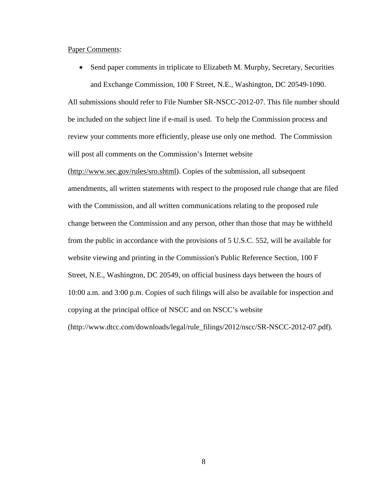#### Paper Comments:

• Send paper comments in triplicate to Elizabeth M. Murphy, Secretary, Securities and Exchange Commission, 100 F Street, N.E., Washington, DC 20549-1090.

All submissions should refer to File Number SR-NSCC-2012-07. This file number should be included on the subject line if e-mail is used. To help the Commission process and review your comments more efficiently, please use only one method. The Commission will post all comments on the Commission's Internet website

(http://www.sec.gov/rules/sro.shtml). Copies of the submission, all subsequent amendments, all written statements with respect to the proposed rule change that are filed with the Commission, and all written communications relating to the proposed rule change between the Commission and any person, other than those that may be withheld from the public in accordance with the provisions of 5 U.S.C. 552, will be available for website viewing and printing in the Commission's Public Reference Section, 100 F Street, N.E., Washington, DC 20549, on official business days between the hours of 10:00 a.m. and 3:00 p.m. Copies of such filings will also be available for inspection and copying at the principal office of NSCC and on NSCC's website (http://www.dtcc.com/downloads/legal/rule\_filings/2012/nscc/SR-NSCC-2012-07.pdf).